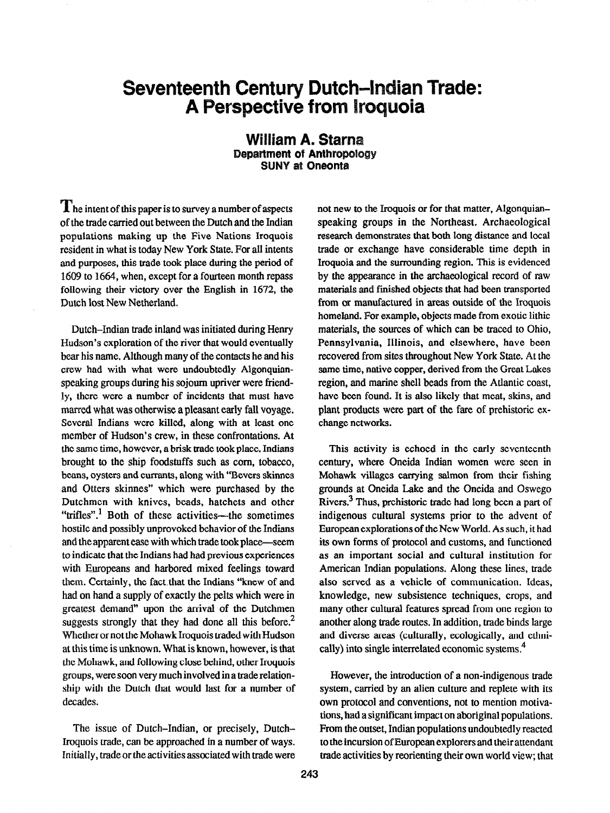## Seventeenth Century Dut **A Perspective from**

## William A. Starn Department of Anthropology **SUNY at Oneonta**

 $\prod$  he intent of this paper is to survey a number of aspects of the trade carried out between the Dutch and the Indian populations making up the Five Nations Iroquois resident in what is today New York State. For all intents and purposes, this trade took place during the period of 1609 to 1664, when, except for a fourteen month repass following their victory over the English in 1672, the Dutch lost New Netherland.

Dutch-Indian trade inland was initiated during Henry Hudson's exploration of the river that would eventually bear his name. Although many of the contacts he and his crew had with what were undoubtedly Algonquianspeaking groups during his sojourn upriver were friendly, there were a number of incidents that must have marred what was otherwise a pleasant early fall voyage. Several Indians were killed, along with at least one member of Hudson's crew, in these confrontations. At the same time, however, a brisk trade took place. Indians brought to the ship foodstuffs such as corn, tobacco, beans, oysters and currants, along with "Bevers skinnes and Otters skinnes" which were purchased by the Dutchmen with knives, beads, hatchets and other "trifles".<sup>1</sup> Both of these activities—the sometimes hostile and possibly unprovoked behavior of the Indians and the apparent ease with which trade took place-seem to indicate that the Indians had had previous experiences with Europeans and harbored mixed feelings toward them. Certainly, the fact that the Indians "knew of and had on hand a supply of exactly the pelts which were in greatest demand" upon the arrival of the Dutchmen suggests strongly that they had done all this before.<sup>2</sup> Whether or not the Mohawk Iroquois traded with Hudson at this time is unknown. What is known, however, is that the Mohawk, and following close behind, other Iroquois groups, were soon very much involved in a trade relationship with the Dutch that would last for a number of decades.

The issue of Dutch-Indian, or precisely, Dutch-Iroquois trade, can be approached in a number of ways. Initially, trade or the activities associated with trade were not new to the Iroquois or for that matter, Algonquianspeaking groups in the Northeast. Archaeological research demonstrates that both long distance and local trade or exchange have considerable time depth in Iroquoia and the surrounding region. This is evidenced by the appearance in the archaeological record of raw materials and finished objects that had been transported from or manufactured in areas outside of the Iroquois homeland. For example, objects made from exotic lithic materials, the sources of which can be traced to Ohio, Pennsylvania, Illinois, and elsewhere, have been recovered from sites throughout New York State. At the same time, native copper, derived from the Great Lakes region, and marine shell beads from the Atlantic coast, have been found. It is also likely that meat, skins, and plant products were part of the fare of prehistoric exchange networks.

This activity is echoed in the early seventeenth century, where Oneida Indian women were seen in Mohawk villages carrying salmon from their fishing grounds at Oneida Lake and the Oneida and Oswego Rivers,<sup>3</sup> Thus, prehistoric trade had long been a part of indigenous cultural systems prior to the advent of European explorations of the New World. As such, it had its own forms of protocol and customs, and functioned as an important social and cultural institution for American Indian populations. Along these lines, trade also served as a vehicle of communication. Ideas, knowledge, new subsistence techniques, crops, and many other cultural features spread from one region to another along trade routes. In addition, trade binds large and diverse areas (culturally, ecologically, and ethnically) into single interrelated economic systems.<sup>4</sup>

However, the introduction of a non-indigenous trade system, carried by an alien culture and replete with its own protocol and conventions, not to mention motivations, had a significant impact on aboriginal populations. From the outset, Indian populations undoubtedly reacted to the incursion of European explorers and their attendant trade activities by reorienting their own world view; that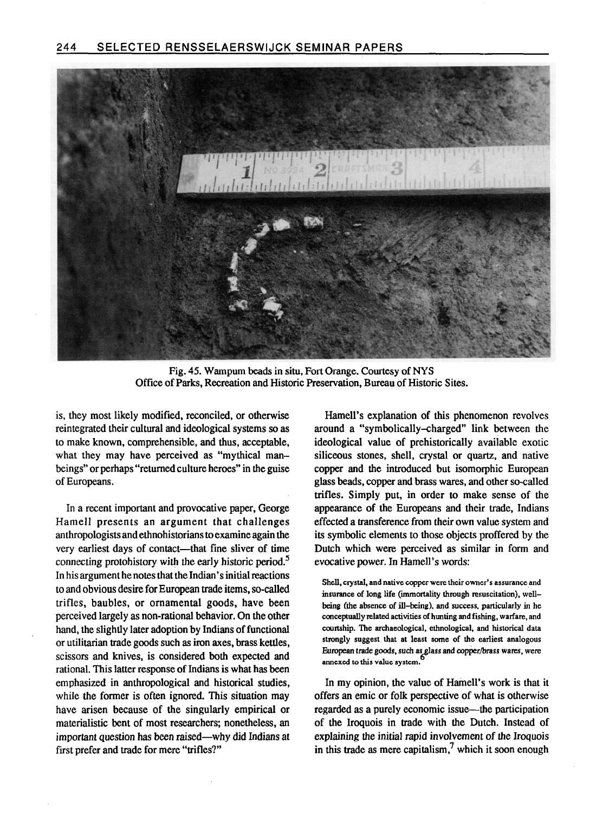

Fig. 45. Wampum beads in situ, Fort Orange. Courtesy of NYS Office of Parks, Recreation and Historic Preservation, Bureau of Historic Sites.

is, they most likely modified, reconciled, or otherwise reintegrated their cultural and ideological systems so as to make known, comprehensible, and thus, acceptable, what they may have perceived as "mythical manbeings'\* or perhaps "returned culture heroes" in the guise of Europeans.

In a recent important and provocative paper, George Hamell presents an argument that challenges anthropologists and ethnohistorians to examine again the very earliest days of contact-that fine sliver of time connecting protohistory with the early historic period. $5$ In his argument he notes that the Indian's initial reactions to and obvious desire for European trade items, so-called trifles, baubles, or ornamental goods, have been perceived largely as non-rational behavior. On the other hand, the slightly later adoption by Indians of functional or utilitarian trade goods such as iron axes, brass kettles, scissors and knives, is considered both expected and rational. This latter response of Indians is what has been emphasized in anthropological and historical studies, while the former is often ignored. This situation may have arisen because of the singularly empirical or materialistic bent of most researchers; nonetheless, an important question has been raised-why did Indians at first prefer and trade for mere "trifles?"

Hamell's explanation of this phenomenon revolves around a "symbolically-charged" link between the ideological value of prehistorically available exotic siliceous stones, shell, crystal or quartz, and native copper and the introduced but isomorphic European glass beads, copper and brass wares, and other so-called trifles. Simply put, in order to make sense of the appearance of the Europeans and their trade, Indians effected a transference from their own value system and its symbolic elements to those objects proffered by the Dutch which were perceived as similar in form and evocative power. In Hamell's words:

Shell, crystal, and native copper were their owner's assurance and insurance of long life (immortality through resuscitation), wellbeing (the absence of ill-being), and success, particularly in he conceptually related activities of hunting and fishing, warfare, and courtship. The archaeological, ethnological, and historical data strongly suggest that at least some of the earliest analogous European trade goods, such as glass and copper/brass wares, were<br>annexed to this value system.

In my opinion, the value of Hamell's work is that it offers an emit or folk perspective of what is otherwise regarded as a purely economic issue—the participation of the Iroquois in trade with the Dutch. Instead of explaining the initial rapid involvement of the Iroquois in this trade as mere capitalism,<sup>7</sup> which it soon enough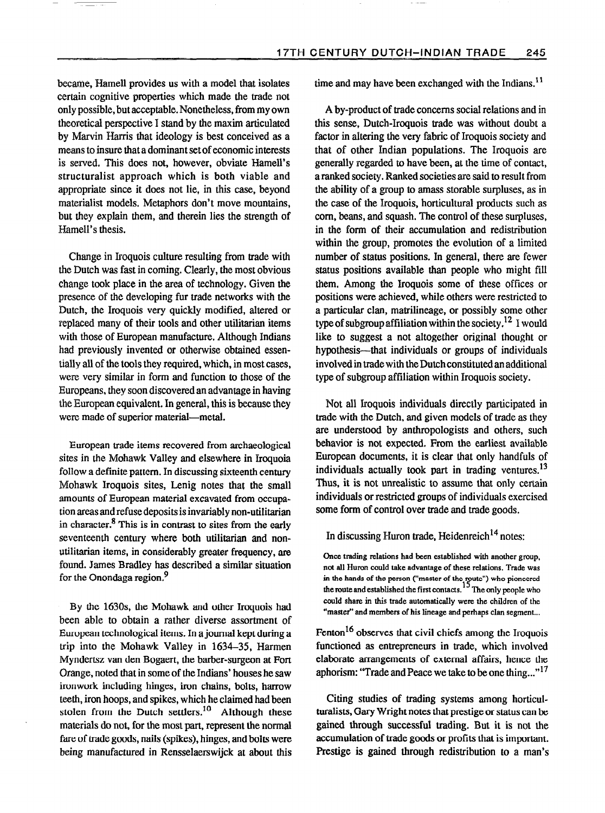became, Hamell provides us with a model that isolates certain cognitive properties which made the trade not only possible, but acceptable. Nonetheless, firom my own theoretical perspective I stand by the maxim articulated by Marvin Harris that ideology is best conceived as a means to insure that a dominant set of economic interests is served, This does not, however, obviate Hamell's structuralist approach which is both viable and appropriate since it does not lie, in this case, beyond materialist models, Metaphors don't move mountains, but they explain them, and therein lies the strength of Hamell's thesis.

Change in Iroquois culture resulting from trade with the Dutch was fast in coming. Clearly, the most obvious change took place in the area of technology. Given the presence of the developing fur trade networks with the Dutch, the Iroquois very quickly modified, altered or replaced many of their tools and other utilitarian items with those of European manufacture. Although Indians had previously invented or otherwise obtained essentially all of the tools they required, which, in most cases, were very similar in form and function to those of the Europeans, they soon discovered an advantage in having the European equivalent. In general, this is because they were made of superior material-metal.

European trade items recovered from archaeological sites in the Mohawk Valley and elsewhere in Iroquoia follow a definite pattern. In discussing sixteenth century Mohawk Iroquois sites, Lenig notes that the small amounts of European material excavated from occupation areas and refuse deposits is invariably non-utilitarian in character.<sup>8</sup> This is in contrast to sites from the early seventeenth century where both utilitarian and nonutilitarian items, in considerably greater frequency, are found. James Bradley has described a similar situation for the Onondaga region.<sup>9</sup>

By the 163Os, the Mohawk and other Iroquois had been able to obtain a rather diverse assortment of European technological items. In a journal kept during a trip into the Mohawk Valley in 1634-35, Harmen Myndertsz van den Bogaert, the barber-surgeon at Fort Orange, noted that in some of the Indians' houses he saw ironwork including hinges, iron chains, bolts, harrow teeth, iron hoops, and spikes, which he claimed had been stolen from the Dutch settlers.<sup>10</sup> Although these materials do not, for the most part, represent the normal fare of trade goods, nails (spikes), hinges, and bolts were being manufactured in Rensselaerswijck at about this time and may have been exchanged with the Indians. $<sup>11</sup>$ </sup>

A by-product of trade concerns social relations and in this sense, Dutch-Iroquois trade was without doubt a factor in altering the very fabric of Iroquois society and that of other Indian populations. The Iroquois are generally regarded to have been, at the time of contact, a ranked society. Ranked societies are said to result from the ability of a group to amass storable surpluses, as in the case of the Iroquois, horticultural products such as corn, beans, and squash. The control of these surpluses, in the form of their accumulation and redistribution within the group, promotes the evolution of a limited number of status positions. In general, there are fewer status positions available than people who might fill them. Among the Iroquois some of these offices or positions were achieved, while others were restricted to a particular clan, matrilineage, or possibly some other type of subgroup affiliation within the society.<sup>12</sup> I would like to suggest a not altogether original thought or hypothesis-that individuals or groups of individuals involved in trade witb the Dutch constituted an additional type of subgroup affiliation within Iroquois society.

Not all Iroquois individuals directly participated in trade with the Dutch, and given models of trade as they are understood by anthropologists and others, such behavior is not expected. From the earliest available European documents, it is clear that only handfuls of individuals actually took part in trading ventures.<sup>13</sup> Thus, it is not unrealistic to assume that only certain individuals or restricted groups of individuals exercised some form of control over trade and trade goods.

## In discussing Huron trade, Heidenreich<sup>14</sup> notes:

Once trading relations had been established with another group, not all Huron could take advantage of these relations. Trade was in the hands of the person ("master of the route") who pioncered the route and established the first contacts. The only people who could share in this trade automatically were the children of the "master" and members of his lineage and perhaps clan segment...

Fenton<sup>16</sup> observes that civil chiefs among the Iroquois functioned as entrepreneurs in trade, which involved elaborate arrangements of external affairs, hence the aphorism: "Trade and Peace we take to be one thing..."<sup>17</sup>

Citing studies of trading systems among horticulturalists, Gary Wright notes that prestige or status can be gained through successful trading. But it is not the accumulation of trade goods or profits that is important, Prestige is gained through redistribution to a man's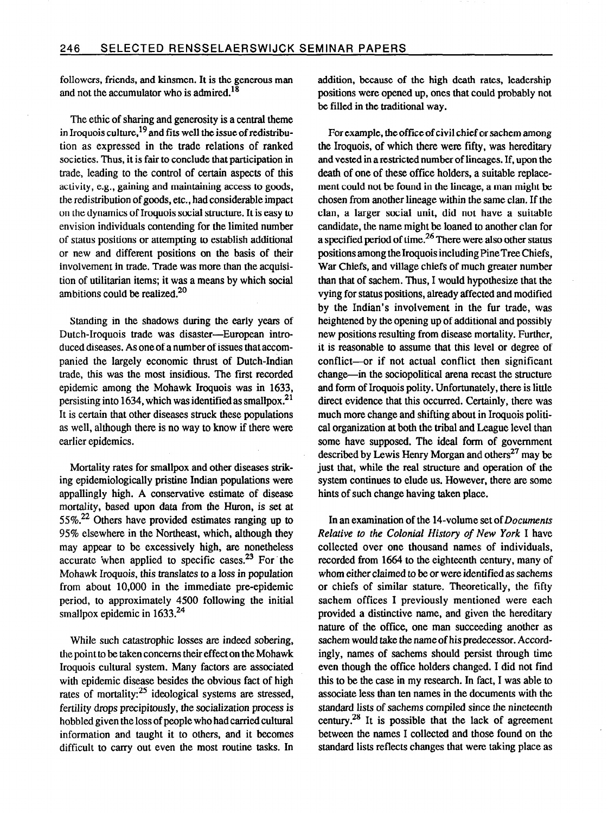followers, friends, and kinsmen. It is the generous man and not the accumulator who is admired.<sup>18</sup>

The ethic of sharing and generosity is a central theme in Iroquois culture,  $^{19}$  and fits well the issue of redistribution as expressed in the trade relations of ranked societies. Thus, it is fair to conclude that participation in trade, leading to the control of certain aspects of this activity, e.g., gaining and maintaining access to goods, the redistribution of goods, etc., had considerable impact on the dynamics of Iroquois social structure. It is easy to envision individuals contending for the limited number of status positions or attempting to establish additional or new and different positions on the basis of their involvement in trade. Trade was more than the acquisition of utilitarian items; it was a means by which social ambitions could be realized. $20$ 

Standing in the shadows during the early years of Dutch-Iroquois trade was disaster-European introduced diseases. As one of a number of issues that accompanied the largely economic thrust of Dutch-Indian trade, this was the most insidious. The first recorded epidemic among the Mohawk Iroquois was in 1633, persisting into 1634, which was identified as smallpox.<sup>21</sup> It is certain that other diseases struck these populations as well, although there is no way to know if there were earlier epidemics.

Mortality rates for smallpox and other diseases striking epidemiologically pristine Indian populations were appallingly high. A conservative estimate of disease mortality, based upon data from the Huron, is set at  $55\%$ <sup>22</sup> Others have provided estimates ranging up to 95% elsewhere in the Northeast, which, although they may appear to be excessively high, are nonetheless accurate when applied to specific cases. $23$  For the Mohawk Iroquois, this translates to a loss in population from about 10,000 in the immediate pre-epidemic period, to approximately 4500 following the initial smallpox epidemic in 1633.<sup>24</sup>

While such catastrophic losses are indeed sobering, the point to be taken concerns their effect on the Mohawk Iroquois cultural system. Many factors are associated with epidemic disease besides the obvious fact of high rates of mortality: $25$  ideological systems are stressed, fertility drops precipitously, the socialization process is hobbled given the loss of people who had carried cultural information and taught it to others, and it becomes difficult to carry out even the most routine tasks. In

addition, because of the high death rates, leadership positions were opened up, ones that could probably not be filled in the traditional way.

For example, the office of civil chief or sachem among the Iroquois, of which there were fifty, was hereditary and vested in a restricted number of lineages. If, upon the death of one of these office holders, a suitable replacement could not be found in the lineage, a man might be chosen from another lineage within the same clan. If the clan, a larger social unit, did not have a suitable candidate, the name might be loaned to another clan for a specified period of time.<sup>26</sup> There were also other status positions among the Iroquois including Pine Tree Chiefs, War Chiefs, and village chiefs of much greater number than that of sachem. Thus, I would hypothesize that the vying for status positions, already affected and modified by the Indian's involvement in the fur trade, was heightened by the opening up of additional and possibly new positions resulting from disease mortality. Further, it is reasonable to assume that this level or degree of conflict-or if not actual conflict then significant change-in the sociopolitical arena recast the structure and form of Iroquois polity. Unfortunately, there is little direct evidence that this occurred. Certainly, there was much more change and shifting about in Iroquois political organization at both the tribal and League level than some have supposed. The ideal form of government described by Lewis Henry Morgan and others<sup>27</sup> may be just that, while the real structure and operation of the system continues to elude us. However, there are some hints of such change having taken place.

In an examination of the 14-volume set of Documents Relative to the Colonial History of New York I have collected over one thousand names of individuals, recorded from 1664 to the eighteenth century, many of whom either claimed to be or were identified as sachems or chiefs of similar stature. Theoretically, the fifty sachem offices I previously mentioned were each provided a distinctive name, and given the hereditary nature of the office, one man succeeding another as sachem would take the name of his predecessor. Accordingly, names of sachems should persist through time even though the office holders changed. I did not find this to be the case in my research. In fact, I was able to associate less than ten names in the dccuments with the standard lists of sachems compiled since the nineteenth century.<sup>28</sup> It is possible that the lack of agreement between the names I collected and those found on the standard lists reflects changes that were taking place as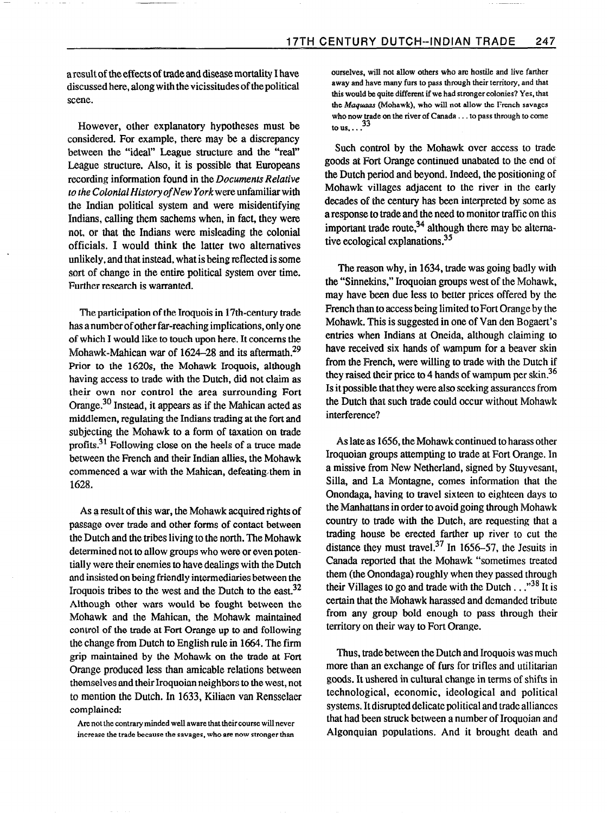aresult of the effects of trade and disease mortality I have discussed here, along with the vicissitudes of the political scene.

However, other explanatory hypotheses must be considered. For example, there may be a discrepancy between the "ideal" League structure and the "real' League structure. Also, it is possible that Europeans recording information found in the Documents Relative to the Colonial History of New York were unfamiliar with the Indian political system and were misidentifying Indians, calling them sachems when, in fact, they were not, or that the Indians were misleading the colonial officials. I would think the latter two alternatives unlikely, and that instead, what is being reflected is some sort of change in the entire political system over time. Further research is warranted.

The participation of the Iroquois in 17th-century trade has a numberof other far-reaching implications, only one of which I would like to touch upon here. It concerns the Mohawk-Mahican war of  $1624-28$  and its aftermath.<sup>29</sup> Prior to the 162Os, the Mohawk Iroquois, although having access to trade with the Dutch, did not claim as their own nor control the area surrounding Fort Orange.<sup>30</sup> Instead, it appears as if the Mahican acted as middlemen, regulating the Indians trading at the fort and subjecting the Mohawk to a form of taxation on trade profits.<sup>31</sup> Following close on the heels of a truce made between the French and their Indian allies, the Mohawk commenced a war with the Mahican, defeating/them in 1628.

As a result of this war, the Mohawk acquired rights of passage over trade and other forms of contact between the Dutch and the tribes living to the north. The Mohawk determined not to allow groups who were or even potentially were their enemies to have dealings with the Dutch and insisted on being friendly intermediaries between the Iroquois tribes to the west and the Dutch to the east.<sup>32</sup> Although other wars would be fought between the Mohawk and the Mahican, the Mohawk maintained control of the trade at Fort Orange up to and following the change from Dutch to English rule in 1664. The firm grip maintained by the Mohawk on the trade at Fort Orange produced less than amicable relations between themselves and their Iroquoian neighbors to the west, not to mention the Dutch. In 1633, Kiliaen van Rensselaer complained:

ourselves, will not allow others who are hostile and live farther away and have many furs to pass through their territory, and that this would be quite different if we had stronger colonies? Yes, that the Maquaas (Mohawk), who will not allow the French savages who now trade on the river of Canada.. . to pass through to come to us,  $\ldots$ <sup>33</sup>

Such control by the Mohawk over access to trade goods at Fort Orange continued unabated to the end of the Dutch period and beyond. Indeed, the positioning of Mohawk villages adjacent to the river in the early decades of the century has been interpreted by some as a response to trade and the need to monitor traffic on this important trade route, $34$  although there may be alternative ecological explanations.<sup>35</sup>

The reason why, in 1634, trade was going badly with the "Sinnekins," Iroquoian groups west of the Mohawk, may have been due less to better prices offered by the French than to access being limited to Fort Orange by the Mohawk. This is suggested in one of Van den Bogaert's entries when Indians at Oneida, although claiming to have received six hands of wampum for a beaver skin from the French, were willing to trade with the Dutch if they raised their price to 4 hands of wampum per skin.<sup>36</sup> Is it possible that they were also seeking assurances from the Dutch that such trade could occur without Mohawk interference?

As late as 1656, the Mohawk continued to harass other Iroquoian groups attempting to trade at Fort Orange. In a missive from New Netherland, signed by Stuyvesant, Silla, and La Montagne, comes information that the Onondaga, having to travel sixteen to eighteen days to the Manhattans in order to avoid going through Mohawk country to trade with the Dutch, are requesting that a trading house be erected farther up river to cut the distance they must travel.<sup>37</sup> In 1656–57, the Jesuits in Canada reported that the Mohawk "sometimes treated them (the Onondaga) roughly when they passed through their Villages to go and trade with the Dutch  $\ldots$ <sup>38</sup> It is certain that the Mohawk harassed and demanded tribute from any group bold enough to pass through their territory on their way to Fort Orange.

Thus, trade between the Dutch and Iroquois was much more than an exchange of furs for trifles and utilitarian goods. It ushered in cultural change in terms of shifts in technological, economic, ideological and political systems. It disrupted delicate political and trade alliances that had been struck between a number of Iroquoian and Algonquian populations. And it brought death and

Are not the contrary minded well aware that their course will never increase the trade because the savages, who are now stronger than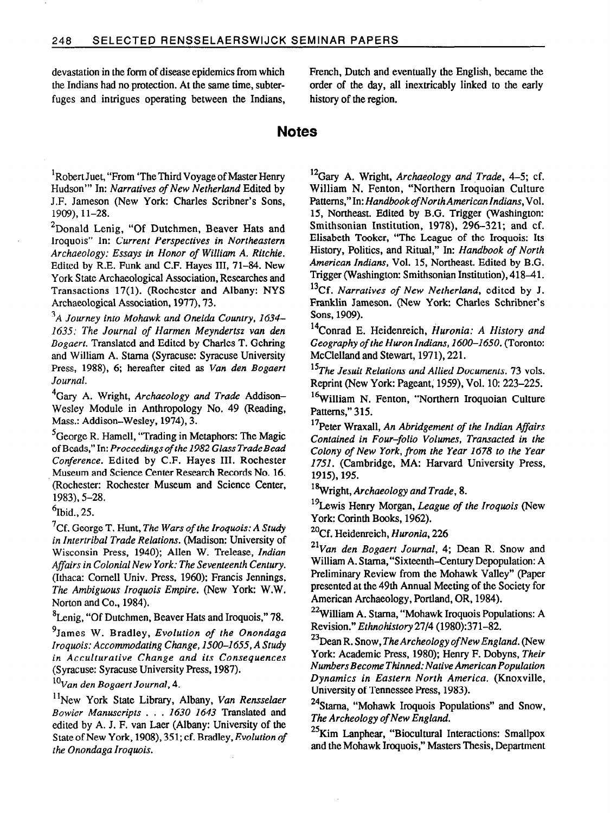fuges and intrigues operating between the Indians, history of the region.

devastation in the form of disease epidemics from which French, Dutch and eventually the English, became the the Indians had no protection. At the same time, subter- order of the day, all inextricably linked to the early

## **Notes**

<sup>1</sup>Robert Juet, "From 'The Third Voyage of Master Henry Hudson"' In: Narratives of New Netherland Edited by J.F. Jameson (New York: Charles Scribner's Sons, 1909), 11-28.

<sup>2</sup>Donald Lenig, "Of Dutchmen, Beaver Hats and Iroquois" In: Current Perspectives in Northeastern Archaeology: Essays in Honor of William A. Ritchie. Edited by R.E. Funk and C.F. Hayes III, 71-84. New York State Archaeological Association, Researches and Transactions 17(l). (Rochester and Albany: NYS Archaeological Association, 1977), 73.

 $3_A$  Journey into Mohawk and Oneida Country, 1634– 1635: The Journal of Harmen Meyndertsz van den Bogaert. Translated and Edited by Charles T. Gehring and William A. Starna (Syracuse: Syracuse University Press, 1988), 6; hereafter cited as Van den Bogaert Journal.

 ${}^{4}$ Gary A. Wright, Archaeology and Trade Addison-Wesley Module in Anthropology No. 49 (Reading, Mass.: Addison-Wesley, 1974), 3.

<sup>5</sup>George R. Hamell, "Trading in Metaphors: The Magic of Beads," In: Proceedings of the 1982 Glass Trade Bead Conference. Edited by C.F. Hayes III. Rochester Museum and Science Center Research Records No. 16. (Rochester: Rochester Museum and Science Center, 1983), 5-28.

 $6$ Ibid., 25.

 $7$ Cf. George T. Hunt, The Wars of the Iroquois: A Study in Intertribal Trade Relations. (Madison: University of Wisconsin Press, 1940); Allen W. Trelease, Indian Affairs in Colonial New York: The Seventeenth Century. (Ithaca: Cornell Univ. Press, 1960); Francis Jennings, The Ambiguous Iroquois Empire. (New York: W.W. Norton and Co., 1984).

<sup>8</sup>Lenig, "Of Dutchmen, Beaver Hats and Iroquois," 78.

 $<sup>9</sup>$ James W. Bradley, Evolution of the Onondaga</sup> Iroquois: Accommodating Change, 1500-1655, A Study in Acculturative Change and its Consequences (Syracuse: Syracuse University Press, 1987).

 $^{10}$ Van den Bogaert Journal, 4.

<sup>11</sup>New York State Library, Albany, Van Rensselaer Bowier Manuscripts . . . 1630-1643 Translated and edited by A. J. F. van Laer (Albany: University of the State of New York, 1908), 351; cf. Bradley, Evolution of the Onondaga Iroquois.

 $^{12}$ Gary A. Wright, Archaeology and Trade, 4-5; cf. William N. Fenton, "Northern Iroquoian Culture Patterns," In: Handbook of North American Indians, Vol. 15, Northeast. Edited by B.G. Trigger (Washington: Smithsonian Institution, 1978), 296-321; and cf. Elisabeth Tooker, "The League of the Iroquois: Its History, Politics, and Ritual," In: Handbook of North American Indians, Vol. 15, Northeast. Edited by B.G. Trigger (Washington: Smithsonian Institution), 418-41.

 $^{13}$ Cf. Narratives of New Netherland, edited by J. Franklin Jameson. (New York: Charles Schribner's Sons, 1909).

<sup>14</sup>Conrad E. Heidenreich, *Huronia: A History and* Geography of the Huron Indians, 1600-1650. (Toronto: McClelland and Stewart, 1971), 221.

 $15$ The Jesuit Relations and Allied Documents. 73 vols. Reprint (New York: Pageant; 1959), Vol. 10: 223-225.

<sup>16</sup> William N. Fenton, "Northern Iroquoian Culture Patterns," 315.

 $17$ Peter Wraxall, An Abridgement of the Indian Affairs Contained in Four-folio Volumes, Transacted in the Colony of New York, from the Year 1678 to the Year 1751. (Cambridge, MA: Harvard University Press, 1915), 195.

<sup>18</sup>Wright, Archaeology and Trade, 8.

<sup>19</sup>Lewis Henry Morgan, League of the Iroquois (New York: Corinth Books, 1962).

<sup>20</sup>Cf. Heidenreich, Huronia, 226

 $21$ Van den Bogaert Journal, 4; Dean R. Snow and William A. Stama,"Sixteenth-Century Depopulation: A Preliminary Review from the Mohawk Valley" (Paper presented at the 49th Annual Meeting of the Society for American Archaeology, Portland, OR, 1984).

2%Villiam A. Stama, "Mohawk Iroquois Populations: A Revision." Ethnohistory 2714 (1980):371-82.

 $^{23}$ Dean R. Snow, The Archeology of New England. (New York: Academic Press, 1980); Henry F. Dobyns, Their Numbers Become Thinned: Native American Population Dynamics in Eastern North America. (Knoxville, University of Tennessee Press, 1983).

24Stama, "Mohawk Iroquois Populations" and Snow, The Archeology of New England.

25Kim Lanphear, "Biocultural Interactions: Smallpox and the Mohawk Iroquois," Masters Thesis, Department